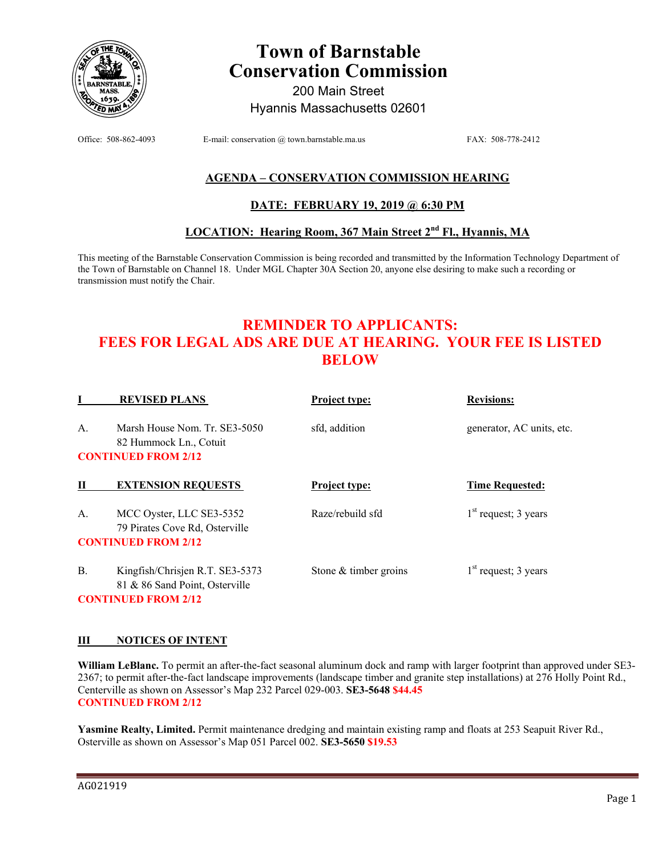

# **Town of Barnstable Conservation Commission**

200 Main Street Hyannis Massachusetts 02601

Office: 508-862-4093 E-mail: conservation @ town.barnstable.ma.us FAX: 508-778-2412

# **AGENDA – CONSERVATION COMMISSION HEARING**

## **DATE: FEBRUARY 19, 2019 @ 6:30 PM**

## **LOCATION: Hearing Room, 367 Main Street 2nd Fl., Hyannis, MA**

This meeting of the Barnstable Conservation Commission is being recorded and transmitted by the Information Technology Department of the Town of Barnstable on Channel 18. Under MGL Chapter 30A Section 20, anyone else desiring to make such a recording or transmission must notify the Chair.

# **REMINDER TO APPLICANTS: FEES FOR LEGAL ADS ARE DUE AT HEARING. YOUR FEE IS LISTED BELOW**

|    | <b>REVISED PLANS</b>                                              | Project type:           | <b>Revisions:</b>         |
|----|-------------------------------------------------------------------|-------------------------|---------------------------|
| A. | Marsh House Nom. Tr. SE3-5050<br>82 Hummock Ln., Cotuit           | sfd. addition           | generator, AC units, etc. |
|    | <b>CONTINUED FROM 2/12</b>                                        |                         |                           |
| Н  | <b>EXTENSION REQUESTS</b>                                         | Project type:           | <b>Time Requested:</b>    |
| A. | MCC Oyster, LLC SE3-5352<br>79 Pirates Cove Rd, Osterville        | Raze/rebuild sfd        | $1st$ request; 3 years    |
|    | <b>CONTINUED FROM 2/12</b>                                        |                         |                           |
| Β. | Kingfish/Chrisjen R.T. SE3-5373<br>81 & 86 Sand Point, Osterville | Stone $&$ timber groins | $1st$ request; 3 years    |

**CONTINUED FROM 2/12** 

### **III NOTICES OF INTENT**

**William LeBlanc.** To permit an after-the-fact seasonal aluminum dock and ramp with larger footprint than approved under SE3- 2367; to permit after-the-fact landscape improvements (landscape timber and granite step installations) at 276 Holly Point Rd., Centerville as shown on Assessor's Map 232 Parcel 029-003. **SE3-5648 \$44.45 CONTINUED FROM 2/12** 

**Yasmine Realty, Limited.** Permit maintenance dredging and maintain existing ramp and floats at 253 Seapuit River Rd., Osterville as shown on Assessor's Map 051 Parcel 002. **SE3-5650 \$19.53**